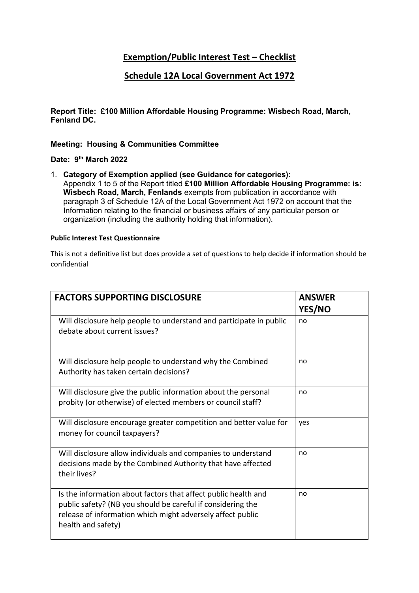## **Exemption/Public Interest Test – Checklist**

## **Schedule 12A Local Government Act 1972**

**Report Title: £100 Million Affordable Housing Programme: Wisbech Road, March, Fenland DC.** 

**Meeting: Housing & Communities Committee** 

**Date: 9 th March 2022**

1. **Category of Exemption applied (see Guidance for categories):** Appendix 1 to 5 of the Report titled **£100 Million Affordable Housing Programme: is: Wisbech Road, March, Fenlands** exempts from publication in accordance with paragraph 3 of Schedule 12A of the Local Government Act 1972 on account that the Information relating to the financial or business affairs of any particular person or organization (including the authority holding that information).

## **Public Interest Test Questionnaire**

This is not a definitive list but does provide a set of questions to help decide if information should be confidential

| <b>FACTORS SUPPORTING DISCLOSURE</b>                                                                                                                                                                              | <b>ANSWER</b><br>YES/NO |
|-------------------------------------------------------------------------------------------------------------------------------------------------------------------------------------------------------------------|-------------------------|
| Will disclosure help people to understand and participate in public<br>debate about current issues?                                                                                                               | no                      |
| Will disclosure help people to understand why the Combined<br>Authority has taken certain decisions?                                                                                                              | no                      |
| Will disclosure give the public information about the personal<br>probity (or otherwise) of elected members or council staff?                                                                                     | no                      |
| Will disclosure encourage greater competition and better value for<br>money for council taxpayers?                                                                                                                | yes                     |
| Will disclosure allow individuals and companies to understand<br>decisions made by the Combined Authority that have affected<br>their lives?                                                                      | no                      |
| Is the information about factors that affect public health and<br>public safety? (NB you should be careful if considering the<br>release of information which might adversely affect public<br>health and safety) | no                      |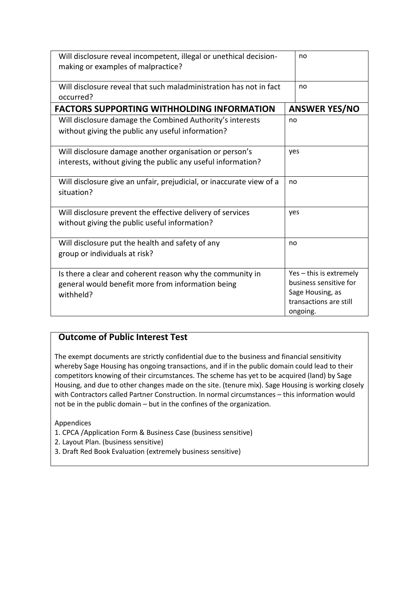| Will disclosure reveal incompetent, illegal or unethical decision-<br>making or examples of malpractice?                    |     | no                                                                                                          |  |
|-----------------------------------------------------------------------------------------------------------------------------|-----|-------------------------------------------------------------------------------------------------------------|--|
| Will disclosure reveal that such maladministration has not in fact<br>occurred?                                             |     | no                                                                                                          |  |
| <b>FACTORS SUPPORTING WITHHOLDING INFORMATION</b>                                                                           |     | <b>ANSWER YES/NO</b>                                                                                        |  |
| Will disclosure damage the Combined Authority's interests<br>without giving the public any useful information?              | no  |                                                                                                             |  |
| Will disclosure damage another organisation or person's<br>interests, without giving the public any useful information?     |     | yes                                                                                                         |  |
| Will disclosure give an unfair, prejudicial, or inaccurate view of a<br>situation?                                          |     | no                                                                                                          |  |
| Will disclosure prevent the effective delivery of services<br>without giving the public useful information?                 | yes |                                                                                                             |  |
| Will disclosure put the health and safety of any<br>group or individuals at risk?                                           |     | no                                                                                                          |  |
| Is there a clear and coherent reason why the community in<br>general would benefit more from information being<br>withheld? |     | Yes - this is extremely<br>business sensitive for<br>Sage Housing, as<br>transactions are still<br>ongoing. |  |

## **Outcome of Public Interest Test**

The exempt documents are strictly confidential due to the business and financial sensitivity whereby Sage Housing has ongoing transactions, and if in the public domain could lead to their competitors knowing of their circumstances. The scheme has yet to be acquired (land) by Sage Housing, and due to other changes made on the site. (tenure mix). Sage Housing is working closely with Contractors called Partner Construction. In normal circumstances – this information would not be in the public domain – but in the confines of the organization.

Appendices

- 1. CPCA /Application Form & Business Case (business sensitive)
- 2. Layout Plan. (business sensitive)
- 3. Draft Red Book Evaluation (extremely business sensitive)